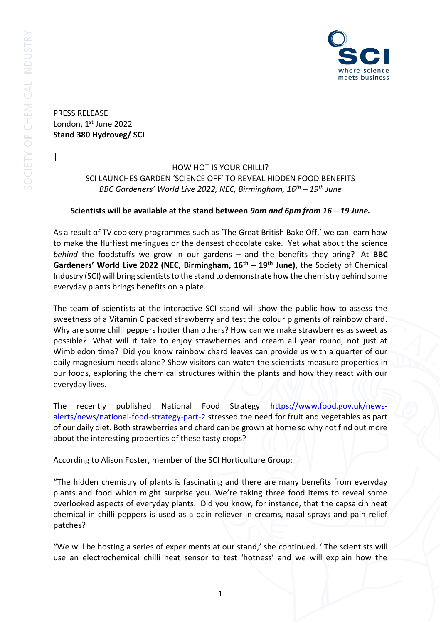

PRESS RELEASE London, 1st June 2022 **Stand 380 Hydroveg/ SCI** 

|

## HOW HOT IS YOUR CHILLI? SCI LAUNCHES GARDEN 'SCIENCE OFF' TO REVEAL HIDDEN FOOD BENEFITS *BBC Gardeners' World Live 2022, NEC, Birmingham, 16th – 19th June*

## **Scientists will be available at the stand between** *9am and 6pm from 16 – 19 June.*

As a result of TV cookery programmes such as 'The Great British Bake Off,' we can learn how to make the fluffiest meringues or the densest chocolate cake. Yet what about the science *behind* the foodstuffs we grow in our gardens – and the benefits they bring? At **BBC Gardeners' World Live 2022 (NEC, Birmingham, 16th – 19th June),** the Society of Chemical Industry (SCI) will bring scientists to the stand to demonstrate how the chemistry behind some everyday plants brings benefits on a plate.

The team of scientists at the interactive SCI stand will show the public how to assess the sweetness of a Vitamin C packed strawberry and test the colour pigments of rainbow chard. Why are some chilli peppers hotter than others? How can we make strawberries as sweet as possible? What will it take to enjoy strawberries and cream all year round, not just at Wimbledon time? Did you know rainbow chard leaves can provide us with a quarter of our daily magnesium needs alone? Show visitors can watch the scientists measure properties in our foods, exploring the chemical structures within the plants and how they react with our everyday lives.

The recently published National Food Strategy [https://www.food.gov.uk/news](https://www.food.gov.uk/news-alerts/news/national-food-strategy-part-2)[alerts/news/national-food-strategy-part-2](https://www.food.gov.uk/news-alerts/news/national-food-strategy-part-2) stressed the need for fruit and vegetables as part of our daily diet. Both strawberries and chard can be grown at home so why not find out more about the interesting properties of these tasty crops?

According to Alison Foster, member of the SCI Horticulture Group:

"The hidden chemistry of plants is fascinating and there are many benefits from everyday plants and food which might surprise you. We're taking three food items to reveal some overlooked aspects of everyday plants. Did you know, for instance, that the capsaicin heat chemical in chilli peppers is used as a pain reliever in creams, nasal sprays and pain relief patches?

"We will be hosting a series of experiments at our stand,' she continued. ' The scientists will use an electrochemical chilli heat sensor to test 'hotness' and we will explain how the